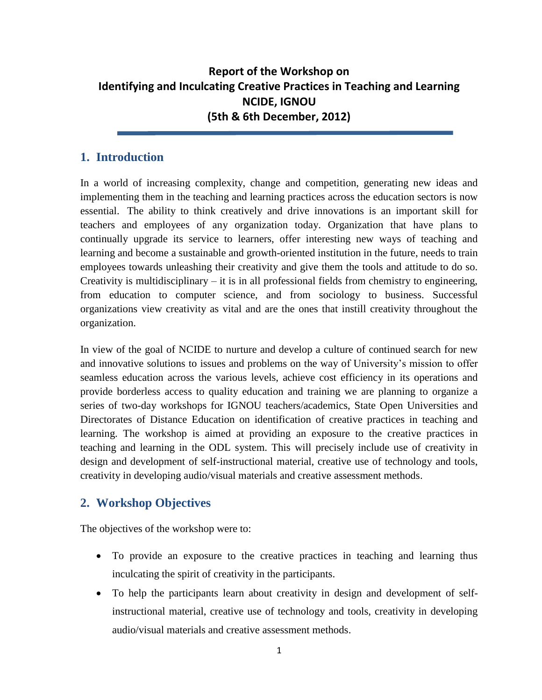## **Report of the Workshop on Identifying and Inculcating Creative Practices in Teaching and Learning NCIDE, IGNOU (5th & 6th December, 2012)**

## **1. Introduction**

In a world of increasing complexity, change and competition, generating new ideas and implementing them in the teaching and learning practices across the education sectors is now essential. The ability to think creatively and drive innovations is an important skill for teachers and employees of any organization today. Organization that have plans to continually upgrade its service to learners, offer interesting new ways of teaching and learning and become a sustainable and growth-oriented institution in the future, needs to train employees towards unleashing their creativity and give them the tools and attitude to do so. Creativity is multidisciplinary – it is in all professional fields from chemistry to engineering, from education to computer science, and from sociology to business. Successful organizations view creativity as vital and are the ones that instill creativity throughout the organization.

In view of the goal of NCIDE to nurture and develop a culture of continued search for new and innovative solutions to issues and problems on the way of University's mission to offer seamless education across the various levels, achieve cost efficiency in its operations and provide borderless access to quality education and training we are planning to organize a series of two-day workshops for IGNOU teachers/academics, State Open Universities and Directorates of Distance Education on identification of creative practices in teaching and learning. The workshop is aimed at providing an exposure to the creative practices in teaching and learning in the ODL system. This will precisely include use of creativity in design and development of self-instructional material, creative use of technology and tools, creativity in developing audio/visual materials and creative assessment methods.

## **2. Workshop Objectives**

The objectives of the workshop were to:

- To provide an exposure to the creative practices in teaching and learning thus inculcating the spirit of creativity in the participants.
- To help the participants learn about creativity in design and development of selfinstructional material, creative use of technology and tools, creativity in developing audio/visual materials and creative assessment methods.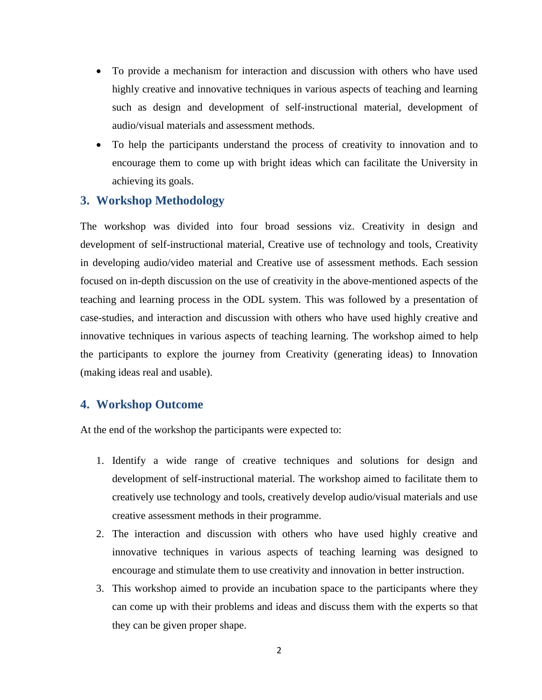- To provide a mechanism for interaction and discussion with others who have used highly creative and innovative techniques in various aspects of teaching and learning such as design and development of self-instructional material, development of audio/visual materials and assessment methods.
- To help the participants understand the process of creativity to innovation and to encourage them to come up with bright ideas which can facilitate the University in achieving its goals.

#### **3. Workshop Methodology**

The workshop was divided into four broad sessions viz. Creativity in design and development of self-instructional material, Creative use of technology and tools, Creativity in developing audio/video material and Creative use of assessment methods. Each session focused on in-depth discussion on the use of creativity in the above-mentioned aspects of the teaching and learning process in the ODL system. This was followed by a presentation of case-studies, and interaction and discussion with others who have used highly creative and innovative techniques in various aspects of teaching learning. The workshop aimed to help the participants to explore the journey from Creativity (generating ideas) to Innovation (making ideas real and usable).

#### **4. Workshop Outcome**

At the end of the workshop the participants were expected to:

- 1. Identify a wide range of creative techniques and solutions for design and development of self-instructional material. The workshop aimed to facilitate them to creatively use technology and tools, creatively develop audio/visual materials and use creative assessment methods in their programme.
- 2. The interaction and discussion with others who have used highly creative and innovative techniques in various aspects of teaching learning was designed to encourage and stimulate them to use creativity and innovation in better instruction.
- 3. This workshop aimed to provide an incubation space to the participants where they can come up with their problems and ideas and discuss them with the experts so that they can be given proper shape.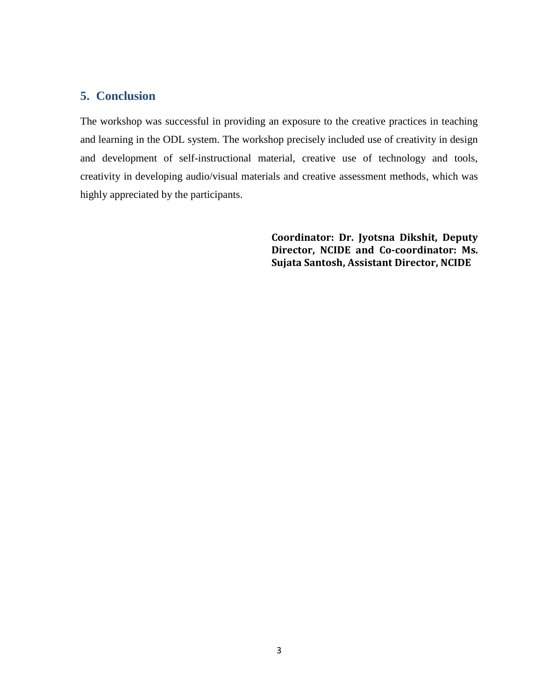#### **5. Conclusion**

The workshop was successful in providing an exposure to the creative practices in teaching and learning in the ODL system. The workshop precisely included use of creativity in design and development of self-instructional material, creative use of technology and tools, creativity in developing audio/visual materials and creative assessment methods, which was highly appreciated by the participants.

> **Coordinator: Dr. Jyotsna Dikshit, Deputy Director, NCIDE and Co-coordinator: Ms. Sujata Santosh, Assistant Director, NCIDE**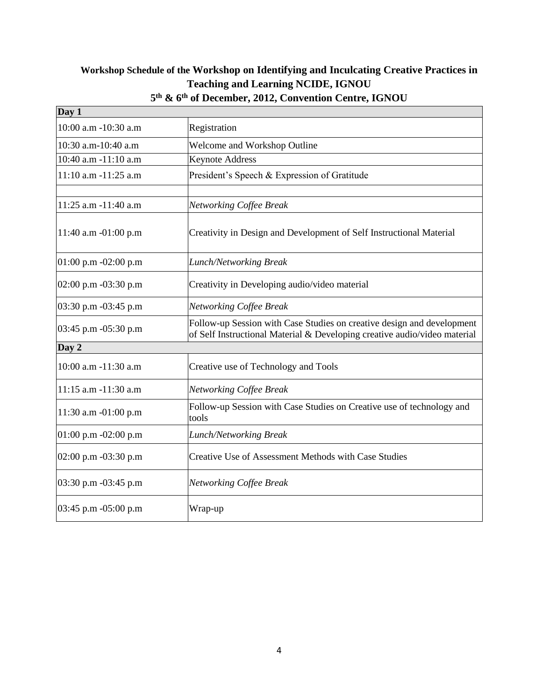# **Workshop Schedule of the Workshop on Identifying and Inculcating Creative Practices in Teaching and Learning NCIDE, IGNOU**

| Day 1                |                                                                                                                                                     |
|----------------------|-----------------------------------------------------------------------------------------------------------------------------------------------------|
| 10:00 a.m -10:30 a.m | Registration                                                                                                                                        |
| 10:30 a.m-10:40 a.m  | Welcome and Workshop Outline                                                                                                                        |
| 10:40 a.m -11:10 a.m | <b>Keynote Address</b>                                                                                                                              |
| 11:10 a.m -11:25 a.m | President's Speech & Expression of Gratitude                                                                                                        |
| 11:25 a.m -11:40 a.m | <b>Networking Coffee Break</b>                                                                                                                      |
| 11:40 a.m -01:00 p.m | Creativity in Design and Development of Self Instructional Material                                                                                 |
| 01:00 p.m -02:00 p.m | <b>Lunch/Networking Break</b>                                                                                                                       |
| 02:00 p.m -03:30 p.m | Creativity in Developing audio/video material                                                                                                       |
| 03:30 p.m -03:45 p.m | <b>Networking Coffee Break</b>                                                                                                                      |
| 03:45 p.m -05:30 p.m | Follow-up Session with Case Studies on creative design and development<br>of Self Instructional Material & Developing creative audio/video material |
| Day 2                |                                                                                                                                                     |
| 10:00 a.m -11:30 a.m | Creative use of Technology and Tools                                                                                                                |
| 11:15 a.m -11:30 a.m | <b>Networking Coffee Break</b>                                                                                                                      |
| 11:30 a.m -01:00 p.m | Follow-up Session with Case Studies on Creative use of technology and<br>tools                                                                      |
| 01:00 p.m -02:00 p.m | <b>Lunch/Networking Break</b>                                                                                                                       |
| 02:00 p.m -03:30 p.m | Creative Use of Assessment Methods with Case Studies                                                                                                |
| 03:30 p.m -03:45 p.m | <b>Networking Coffee Break</b>                                                                                                                      |
| 03:45 p.m -05:00 p.m | Wrap-up                                                                                                                                             |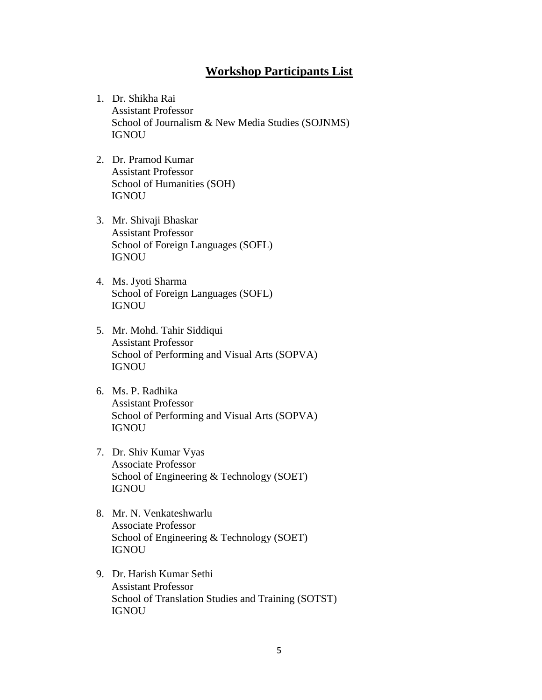### **Workshop Participants List**

- 1. Dr. Shikha Rai Assistant Professor School of Journalism & New Media Studies (SOJNMS) IGNOU
- 2. [Dr. Pramod Kumar](http://www.ignou.ac.in/ignou/aboutignou/school/soh/faculty/detail/Dr_Pramod_Kumar-429) Assistant Professor School of Humanities (SOH) IGNOU
- 3. [Mr. Shivaji Bhaskar](http://www.ignou.ac.in/ignou/aboutignou/school/sofl/faculty/detail/Mr_Shivaji__Bhaskar-4062) Assistant Professor School of Foreign Languages (SOFL) IGNOU
- 4. Ms. Jyoti Sharma School of Foreign Languages (SOFL) IGNOU
- 5. [Mr. Mohd. Tahir Siddiqui](http://www.ignou.ac.in/ignou/aboutignou/school/sopva/faculty/detail/Mr_Md_Tahir_Siddiqui-576) Assistant Professor School of Performing and Visual Arts (SOPVA) IGNOU
- 6. Ms. P. Radhika Assistant Professor School of Performing and Visual Arts (SOPVA) IGNOU
- 7. [Dr. Shiv Kumar Vyas](http://www.ignou.ac.in/ignou/aboutignou/school/soet/faculty/detail/Dr_Shiv_Kumar_Vyas-249) Associate Professor School of Engineering & Technology (SOET) IGNOU
- 8. [Mr. N. Venkateshwarlu](http://www.ignou.ac.in/ignou/aboutignou/school/soet/faculty/detail/Mr_N_Venkateshwarlu-252) Associate Professor School of Engineering & Technology (SOET) IGNOU
- 9. [Dr.](http://www.ignou.ac.in/ignou/aboutignou/school/sotst/faculty/detail/Prof_Avadhesh_Kumar_Singh-4315) Harish Kumar Sethi Assistant Professor School of Translation Studies and Training (SOTST) IGNOU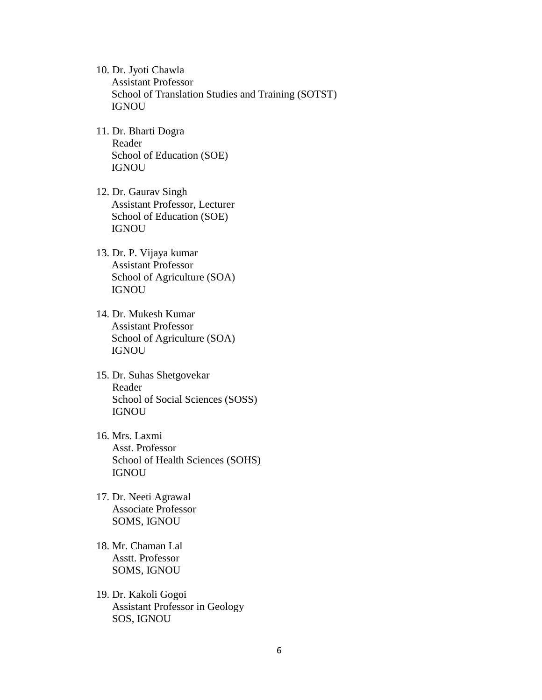- 10. [Dr. Jyoti Chawla](http://www.ignou.ac.in/ignou/aboutignou/school/sotst/faculty/detail/Dr_Jyoti_Chawla-620) Assistant Professor School of Translation Studies and Training (SOTST) IGNOU
- 11. [Dr. Bharti Dogra](http://www.ignou.ac.in/ignou/aboutignou/school/soe/faculty/detail/Dr_Bharti_Dogra-4444) Reader School of Education (SOE) IGNOU
- 12. [Dr. Gaurav Singh](http://www.ignou.ac.in/ignou/aboutignou/school/soe/faculty/detail/Dr_Gaurav_Singh-4446) Assistant Professor, Lecturer School of Education (SOE) IGNOU
- 13. [Dr. P. Vijaya kumar](http://www.ignou.ac.in/ignou/aboutignou/school/soa/faculty/detail/Dr_P_Vijayakumar-381) Assistant Professor School of Agriculture (SOA) IGNOU
- 14. [Dr. Mukesh Kumar](http://www.ignou.ac.in/ignou/aboutignou/school/soa/faculty/detail/Er_Mukesh_Kumar-382) Assistant Professor School of Agriculture (SOA) IGNOU
- 15. Dr. Suhas Shetgovekar Reader School of Social Sciences (SOSS) IGNOU
- 16. Mrs. Laxmi Asst. Professor School of Health Sciences (SOHS) IGNOU
- 17. Dr. Neeti Agrawal Associate Professor SOMS, IGNOU
- 18. Mr. Chaman Lal Asstt. Professor SOMS, IGNOU
- 19. Dr. Kakoli Gogoi Assistant Professor in Geology SOS, IGNOU